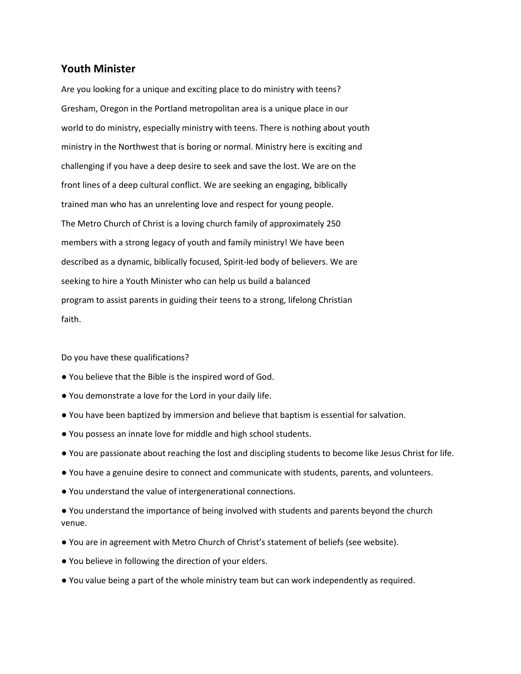## **Youth Minister**

Are you looking for a unique and exciting place to do ministry with teens? Gresham, Oregon in the Portland metropolitan area is a unique place in our world to do ministry, especially ministry with teens. There is nothing about youth ministry in the Northwest that is boring or normal. Ministry here is exciting and challenging if you have a deep desire to seek and save the lost. We are on the front lines of a deep cultural conflict. We are seeking an engaging, biblically trained man who has an unrelenting love and respect for young people. The Metro Church of Christ is a loving church family of approximately 250 members with a strong legacy of youth and family ministry! We have been described as a dynamic, biblically focused, Spirit-led body of believers. We are seeking to hire a Youth Minister who can help us build a balanced program to assist parents in guiding their teens to a strong, lifelong Christian faith.

## Do you have these qualifications?

- You believe that the Bible is the inspired word of God.
- You demonstrate a love for the Lord in your daily life.
- You have been baptized by immersion and believe that baptism is essential for salvation.
- You possess an innate love for middle and high school students.
- You are passionate about reaching the lost and discipling students to become like Jesus Christ for life.
- You have a genuine desire to connect and communicate with students, parents, and volunteers.
- You understand the value of intergenerational connections.
- You understand the importance of being involved with students and parents beyond the church venue.
- You are in agreement with Metro Church of Christ's statement of beliefs (see website).
- You believe in following the direction of your elders.
- You value being a part of the whole ministry team but can work independently as required.